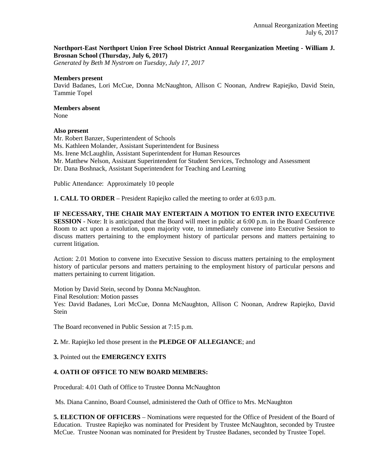# **Northport-East Northport Union Free School District Annual Reorganization Meeting - William J. Brosnan School (Thursday, July 6, 2017)**

*Generated by Beth M Nystrom on Tuesday, July 17, 2017*

#### **Members present**

David Badanes, Lori McCue, Donna McNaughton, Allison C Noonan, Andrew Rapiejko, David Stein, Tammie Topel

# **Members absent**

None

# **Also present**

Mr. Robert Banzer, Superintendent of Schools Ms. Kathleen Molander, Assistant Superintendent for Business Ms. Irene McLaughlin, Assistant Superintendent for Human Resources Mr. Matthew Nelson, Assistant Superintendent for Student Services, Technology and Assessment Dr. Dana Boshnack, Assistant Superintendent for Teaching and Learning

Public Attendance: Approximately 10 people

**1. CALL TO ORDER** – President Rapiejko called the meeting to order at 6:03 p.m.

#### **IF NECESSARY, THE CHAIR MAY ENTERTAIN A MOTION TO ENTER INTO EXECUTIVE**

**SESSION** - Note: It is anticipated that the Board will meet in public at 6:00 p.m. in the Board Conference Room to act upon a resolution, upon majority vote, to immediately convene into Executive Session to discuss matters pertaining to the employment history of particular persons and matters pertaining to current litigation.

Action: 2.01 Motion to convene into Executive Session to discuss matters pertaining to the employment history of particular persons and matters pertaining to the employment history of particular persons and matters pertaining to current litigation.

Motion by David Stein, second by Donna McNaughton.

Final Resolution: Motion passes

Yes: David Badanes, Lori McCue, Donna McNaughton, Allison C Noonan, Andrew Rapiejko, David Stein

The Board reconvened in Public Session at 7:15 p.m.

# **2.** Mr. Rapiejko led those present in the **PLEDGE OF ALLEGIANCE**; and

# **3.** Pointed out the **EMERGENCY EXITS**

# **4. OATH OF OFFICE TO NEW BOARD MEMBERS:**

Procedural: 4.01 Oath of Office to Trustee Donna McNaughton

Ms. Diana Cannino, Board Counsel, administered the Oath of Office to Mrs. McNaughton

**5. ELECTION OF OFFICERS** – Nominations were requested for the Office of President of the Board of Education. Trustee Rapiejko was nominated for President by Trustee McNaughton, seconded by Trustee McCue. Trustee Noonan was nominated for President by Trustee Badanes, seconded by Trustee Topel.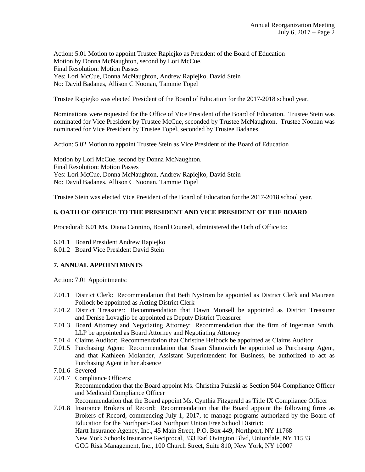Action: 5.01 Motion to appoint Trustee Rapiejko as President of the Board of Education Motion by Donna McNaughton, second by Lori McCue. Final Resolution: Motion Passes Yes: Lori McCue, Donna McNaughton, Andrew Rapiejko, David Stein No: David Badanes, Allison C Noonan, Tammie Topel

Trustee Rapiejko was elected President of the Board of Education for the 2017-2018 school year.

Nominations were requested for the Office of Vice President of the Board of Education. Trustee Stein was nominated for Vice President by Trustee McCue, seconded by Trustee McNaughton. Trustee Noonan was nominated for Vice President by Trustee Topel, seconded by Trustee Badanes.

Action: 5.02 Motion to appoint Trustee Stein as Vice President of the Board of Education

Motion by Lori McCue, second by Donna McNaughton. Final Resolution: Motion Passes Yes: Lori McCue, Donna McNaughton, Andrew Rapiejko, David Stein No: David Badanes, Allison C Noonan, Tammie Topel

Trustee Stein was elected Vice President of the Board of Education for the 2017-2018 school year.

# **6. OATH OF OFFICE TO THE PRESIDENT AND VICE PRESIDENT OF THE BOARD**

Procedural: 6.01 Ms. Diana Cannino, Board Counsel, administered the Oath of Office to:

6.01.1 Board President Andrew Rapiejko

6.01.2 Board Vice President David Stein

# **7. ANNUAL APPOINTMENTS**

Action: 7.01 Appointments:

- 7.01.1 District Clerk: Recommendation that Beth Nystrom be appointed as District Clerk and Maureen Pollock be appointed as Acting District Clerk
- 7.01.2 District Treasurer: Recommendation that Dawn Monsell be appointed as District Treasurer and Denise Lovaglio be appointed as Deputy District Treasurer
- 7.01.3 Board Attorney and Negotiating Attorney: Recommendation that the firm of Ingerman Smith, LLP be appointed as Board Attorney and Negotiating Attorney
- 7.01.4 Claims Auditor: Recommendation that Christine Helbock be appointed as Claims Auditor
- 7.01.5 Purchasing Agent: Recommendation that Susan Shutowich be appointed as Purchasing Agent, and that Kathleen Molander, Assistant Superintendent for Business, be authorized to act as Purchasing Agent in her absence
- 7.01.6 Severed
- 7.01.7 Compliance Officers: Recommendation that the Board appoint Ms. Christina Pulaski as Section 504 Compliance Officer and Medicaid Compliance Officer Recommendation that the Board appoint Ms. Cynthia Fitzgerald as Title IX Compliance Officer
- 7.01.8 Insurance Brokers of Record: Recommendation that the Board appoint the following firms as Brokers of Record, commencing July 1, 2017, to manage programs authorized by the Board of Education for the Northport-East Northport Union Free School District: Hartt Insurance Agency, Inc., 45 Main Street, P.O. Box 449, Northport, NY 11768 New York Schools Insurance Reciprocal, 333 Earl Ovington Blvd, Uniondale, NY 11533 GCG Risk Management, Inc., 100 Church Street, Suite 810, New York, NY 10007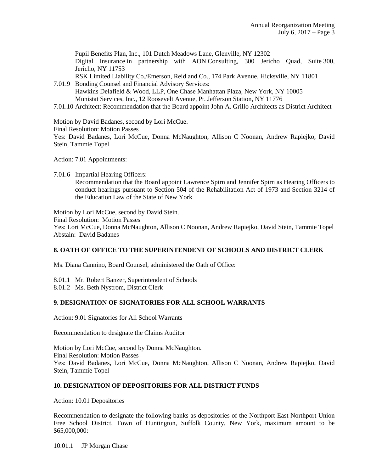Pupil Benefits Plan, Inc., 101 Dutch Meadows Lane, Glenville, NY 12302 Digital Insurance in partnership with AON Consulting, 300 Jericho Quad, Suite 300, Jericho, NY 11753

RSK Limited Liability Co./Emerson, Reid and Co., 174 Park Avenue, Hicksville, NY 11801 7.01.9 Bonding Counsel and Financial Advisory Services:

- Hawkins Delafield & Wood, LLP, One Chase Manhattan Plaza, New York, NY 10005 Munistat Services, Inc., 12 Roosevelt Avenue, Pt. Jefferson Station, NY 11776
- 7.01.10 Architect: Recommendation that the Board appoint John A. Grillo Architects as District Architect

Motion by David Badanes, second by Lori McCue.

Final Resolution: Motion Passes

Yes: David Badanes, Lori McCue, Donna McNaughton, Allison C Noonan, Andrew Rapiejko, David Stein, Tammie Topel

Action: 7.01 Appointments:

7.01.6 Impartial Hearing Officers:

 Recommendation that the Board appoint Lawrence Spirn and Jennifer Spirn as Hearing Officers to conduct hearings pursuant to Section 504 of the Rehabilitation Act of 1973 and Section 3214 of the Education Law of the State of New York

Motion by Lori McCue, second by David Stein.

Final Resolution: Motion Passes

Yes: Lori McCue, Donna McNaughton, Allison C Noonan, Andrew Rapiejko, David Stein, Tammie Topel Abstain: David Badanes

# **8. OATH OF OFFICE TO THE SUPERINTENDENT OF SCHOOLS AND DISTRICT CLERK**

Ms. Diana Cannino, Board Counsel, administered the Oath of Office:

8.01.1 Mr. Robert Banzer, Superintendent of Schools

8.01.2 Ms. Beth Nystrom, District Clerk

# **9. DESIGNATION OF SIGNATORIES FOR ALL SCHOOL WARRANTS**

Action: 9.01 Signatories for All School Warrants

Recommendation to designate the Claims Auditor

Motion by Lori McCue, second by Donna McNaughton. Final Resolution: Motion Passes Yes: David Badanes, Lori McCue, Donna McNaughton, Allison C Noonan, Andrew Rapiejko, David Stein, Tammie Topel

# **10. DESIGNATION OF DEPOSITORIES FOR ALL DISTRICT FUNDS**

Action: 10.01 Depositories

Recommendation to designate the following banks as depositories of the Northport-East Northport Union Free School District, Town of Huntington, Suffolk County, New York, maximum amount to be \$65,000,000:

10.01.1 JP Morgan Chase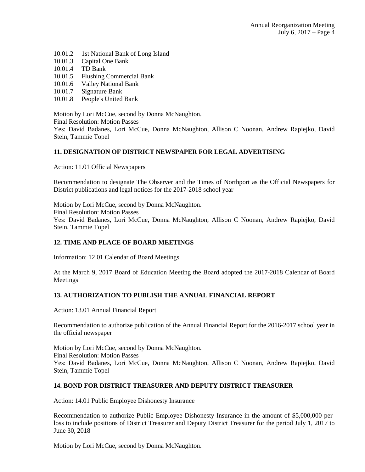- 10.01.2 1st National Bank of Long Island
- 10.01.3 Capital One Bank
- 10.01.4 TD Bank
- 10.01.5 Flushing Commercial Bank
- 10.01.6 Valley National Bank
- 10.01.7 Signature Bank
- 10.01.8 People's United Bank

Motion by Lori McCue, second by Donna McNaughton.

Final Resolution: Motion Passes

Yes: David Badanes, Lori McCue, Donna McNaughton, Allison C Noonan, Andrew Rapiejko, David Stein, Tammie Topel

# **11. DESIGNATION OF DISTRICT NEWSPAPER FOR LEGAL ADVERTISING**

Action: 11.01 Official Newspapers

Recommendation to designate The Observer and the Times of Northport as the Official Newspapers for District publications and legal notices for the 2017-2018 school year

Motion by Lori McCue, second by Donna McNaughton. Final Resolution: Motion Passes Yes: David Badanes, Lori McCue, Donna McNaughton, Allison C Noonan, Andrew Rapiejko, David Stein, Tammie Topel

# **12. TIME AND PLACE OF BOARD MEETINGS**

Information: 12.01 Calendar of Board Meetings

At the March 9, 2017 Board of Education Meeting the Board adopted the 2017-2018 Calendar of Board Meetings

# **13. AUTHORIZATION TO PUBLISH THE ANNUAL FINANCIAL REPORT**

Action: 13.01 Annual Financial Report

Recommendation to authorize publication of the Annual Financial Report for the 2016-2017 school year in the official newspaper

Motion by Lori McCue, second by Donna McNaughton. Final Resolution: Motion Passes Yes: David Badanes, Lori McCue, Donna McNaughton, Allison C Noonan, Andrew Rapiejko, David Stein, Tammie Topel

# **14. BOND FOR DISTRICT TREASURER AND DEPUTY DISTRICT TREASURER**

Action: 14.01 Public Employee Dishonesty Insurance

Recommendation to authorize Public Employee Dishonesty Insurance in the amount of \$5,000,000 perloss to include positions of District Treasurer and Deputy District Treasurer for the period July 1, 2017 to June 30, 2018

Motion by Lori McCue, second by Donna McNaughton.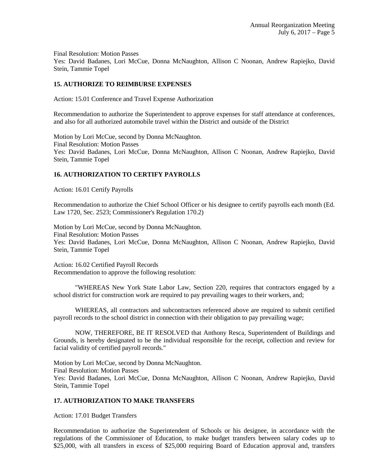Final Resolution: Motion Passes

Yes: David Badanes, Lori McCue, Donna McNaughton, Allison C Noonan, Andrew Rapiejko, David Stein, Tammie Topel

# **15. AUTHORIZE TO REIMBURSE EXPENSES**

Action: 15.01 Conference and Travel Expense Authorization

Recommendation to authorize the Superintendent to approve expenses for staff attendance at conferences, and also for all authorized automobile travel within the District and outside of the District

Motion by Lori McCue, second by Donna McNaughton. Final Resolution: Motion Passes Yes: David Badanes, Lori McCue, Donna McNaughton, Allison C Noonan, Andrew Rapiejko, David Stein, Tammie Topel

# **16. AUTHORIZATION TO CERTIFY PAYROLLS**

Action: 16.01 Certify Payrolls

Recommendation to authorize the Chief School Officer or his designee to certify payrolls each month (Ed. Law 1720, Sec. 2523; Commissioner's Regulation 170.2)

Motion by Lori McCue, second by Donna McNaughton. Final Resolution: Motion Passes Yes: David Badanes, Lori McCue, Donna McNaughton, Allison C Noonan, Andrew Rapiejko, David Stein, Tammie Topel

Action: 16.02 Certified Payroll Records Recommendation to approve the following resolution:

"WHEREAS New York State Labor Law, Section 220, requires that contractors engaged by a school district for construction work are required to pay prevailing wages to their workers, and;

WHEREAS, all contractors and subcontractors referenced above are required to submit certified payroll records to the school district in connection with their obligation to pay prevailing wage;

NOW, THEREFORE, BE IT RESOLVED that Anthony Resca, Superintendent of Buildings and Grounds, is hereby designated to be the individual responsible for the receipt, collection and review for facial validity of certified payroll records."

Motion by Lori McCue, second by Donna McNaughton. Final Resolution: Motion Passes Yes: David Badanes, Lori McCue, Donna McNaughton, Allison C Noonan, Andrew Rapiejko, David Stein, Tammie Topel

# **17. AUTHORIZATION TO MAKE TRANSFERS**

Action: 17.01 Budget Transfers

Recommendation to authorize the Superintendent of Schools or his designee, in accordance with the regulations of the Commissioner of Education, to make budget transfers between salary codes up to \$25,000, with all transfers in excess of \$25,000 requiring Board of Education approval and, transfers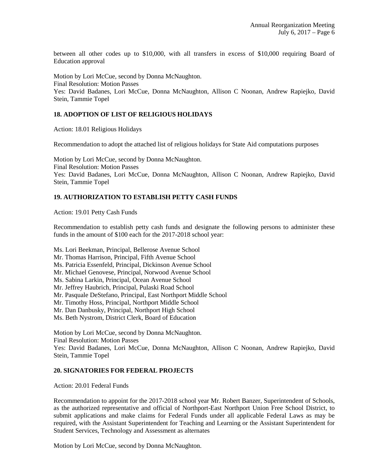between all other codes up to \$10,000, with all transfers in excess of \$10,000 requiring Board of Education approval

Motion by Lori McCue, second by Donna McNaughton. Final Resolution: Motion Passes Yes: David Badanes, Lori McCue, Donna McNaughton, Allison C Noonan, Andrew Rapiejko, David Stein, Tammie Topel

# **18. ADOPTION OF LIST OF RELIGIOUS HOLIDAYS**

Action: 18.01 Religious Holidays

Recommendation to adopt the attached list of religious holidays for State Aid computations purposes

Motion by Lori McCue, second by Donna McNaughton. Final Resolution: Motion Passes Yes: David Badanes, Lori McCue, Donna McNaughton, Allison C Noonan, Andrew Rapiejko, David Stein, Tammie Topel

# **19. AUTHORIZATION TO ESTABLISH PETTY CASH FUNDS**

Action: 19.01 Petty Cash Funds

Recommendation to establish petty cash funds and designate the following persons to administer these funds in the amount of \$100 each for the 2017-2018 school year:

Ms. Lori Beekman, Principal, Bellerose Avenue School

- Mr. Thomas Harrison, Principal, Fifth Avenue School
- Ms. Patricia Essenfeld, Principal, Dickinson Avenue School
- Mr. Michael Genovese, Principal, Norwood Avenue School
- Ms. Sabina Larkin, Principal, Ocean Avenue School
- Mr. Jeffrey Haubrich, Principal, Pulaski Road School
- Mr. Pasquale DeStefano, Principal, East Northport Middle School
- Mr. Timothy Hoss, Principal, Northport Middle School
- Mr. Dan Danbusky, Principal, Northport High School
- Ms. Beth Nystrom, District Clerk, Board of Education

Motion by Lori McCue, second by Donna McNaughton. Final Resolution: Motion Passes Yes: David Badanes, Lori McCue, Donna McNaughton, Allison C Noonan, Andrew Rapiejko, David Stein, Tammie Topel

# **20. SIGNATORIES FOR FEDERAL PROJECTS**

Action: 20.01 Federal Funds

Recommendation to appoint for the 2017-2018 school year Mr. Robert Banzer, Superintendent of Schools, as the authorized representative and official of Northport-East Northport Union Free School District, to submit applications and make claims for Federal Funds under all applicable Federal Laws as may be required, with the Assistant Superintendent for Teaching and Learning or the Assistant Superintendent for Student Services, Technology and Assessment as alternates

Motion by Lori McCue, second by Donna McNaughton.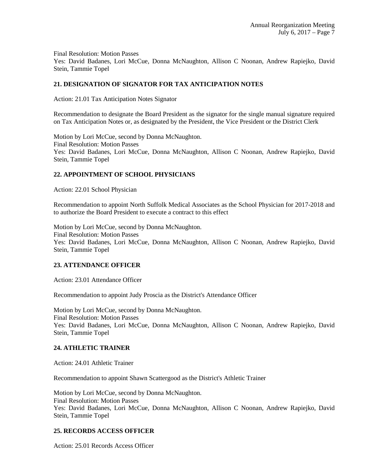Final Resolution: Motion Passes

Yes: David Badanes, Lori McCue, Donna McNaughton, Allison C Noonan, Andrew Rapiejko, David Stein, Tammie Topel

# **21. DESIGNATION OF SIGNATOR FOR TAX ANTICIPATION NOTES**

Action: 21.01 Tax Anticipation Notes Signator

Recommendation to designate the Board President as the signator for the single manual signature required on Tax Anticipation Notes or, as designated by the President, the Vice President or the District Clerk

Motion by Lori McCue, second by Donna McNaughton. Final Resolution: Motion Passes Yes: David Badanes, Lori McCue, Donna McNaughton, Allison C Noonan, Andrew Rapiejko, David Stein, Tammie Topel

# **22. APPOINTMENT OF SCHOOL PHYSICIANS**

Action: 22.01 School Physician

Recommendation to appoint North Suffolk Medical Associates as the School Physician for 2017-2018 and to authorize the Board President to execute a contract to this effect

Motion by Lori McCue, second by Donna McNaughton. Final Resolution: Motion Passes Yes: David Badanes, Lori McCue, Donna McNaughton, Allison C Noonan, Andrew Rapiejko, David Stein, Tammie Topel

# **23. ATTENDANCE OFFICER**

Action: 23.01 Attendance Officer

Recommendation to appoint Judy Proscia as the District's Attendance Officer

Motion by Lori McCue, second by Donna McNaughton. Final Resolution: Motion Passes Yes: David Badanes, Lori McCue, Donna McNaughton, Allison C Noonan, Andrew Rapiejko, David Stein, Tammie Topel

# **24. ATHLETIC TRAINER**

Action: 24.01 Athletic Trainer

Recommendation to appoint Shawn Scattergood as the District's Athletic Trainer

Motion by Lori McCue, second by Donna McNaughton. Final Resolution: Motion Passes Yes: David Badanes, Lori McCue, Donna McNaughton, Allison C Noonan, Andrew Rapiejko, David Stein, Tammie Topel

# **25. RECORDS ACCESS OFFICER**

Action: 25.01 Records Access Officer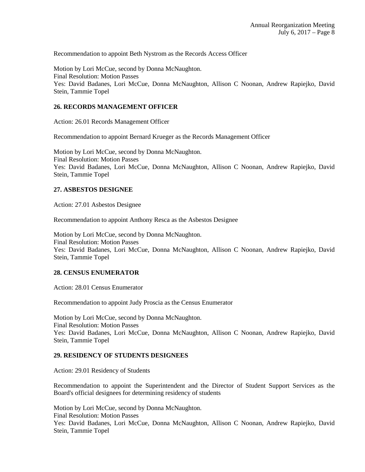Recommendation to appoint Beth Nystrom as the Records Access Officer

Motion by Lori McCue, second by Donna McNaughton. Final Resolution: Motion Passes Yes: David Badanes, Lori McCue, Donna McNaughton, Allison C Noonan, Andrew Rapiejko, David Stein, Tammie Topel

# **26. RECORDS MANAGEMENT OFFICER**

Action: 26.01 Records Management Officer

Recommendation to appoint Bernard Krueger as the Records Management Officer

Motion by Lori McCue, second by Donna McNaughton. Final Resolution: Motion Passes Yes: David Badanes, Lori McCue, Donna McNaughton, Allison C Noonan, Andrew Rapiejko, David Stein, Tammie Topel

# **27. ASBESTOS DESIGNEE**

Action: 27.01 Asbestos Designee

Recommendation to appoint Anthony Resca as the Asbestos Designee

Motion by Lori McCue, second by Donna McNaughton. Final Resolution: Motion Passes Yes: David Badanes, Lori McCue, Donna McNaughton, Allison C Noonan, Andrew Rapiejko, David Stein, Tammie Topel

# **28. CENSUS ENUMERATOR**

Action: 28.01 Census Enumerator

Recommendation to appoint Judy Proscia as the Census Enumerator

Motion by Lori McCue, second by Donna McNaughton. Final Resolution: Motion Passes Yes: David Badanes, Lori McCue, Donna McNaughton, Allison C Noonan, Andrew Rapiejko, David Stein, Tammie Topel

# **29. RESIDENCY OF STUDENTS DESIGNEES**

Action: 29.01 Residency of Students

Recommendation to appoint the Superintendent and the Director of Student Support Services as the Board's official designees for determining residency of students

Motion by Lori McCue, second by Donna McNaughton.

Final Resolution: Motion Passes

Yes: David Badanes, Lori McCue, Donna McNaughton, Allison C Noonan, Andrew Rapiejko, David Stein, Tammie Topel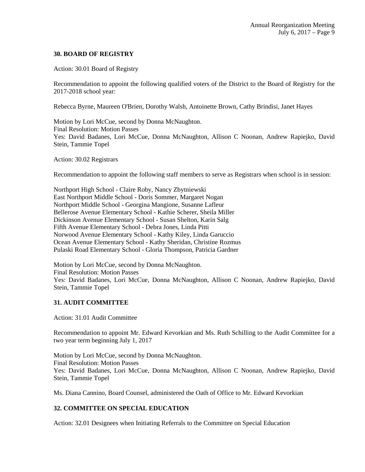# **30. BOARD OF REGISTRY**

Action: 30.01 Board of Registry

Recommendation to appoint the following qualified voters of the District to the Board of Registry for the 2017-2018 school year:

Rebecca Byrne, Maureen O'Brien, Dorothy Walsh, Antoinette Brown, Cathy Brindisi, Janet Hayes

Motion by Lori McCue, second by Donna McNaughton. Final Resolution: Motion Passes Yes: David Badanes, Lori McCue, Donna McNaughton, Allison C Noonan, Andrew Rapiejko, David Stein, Tammie Topel

Action: 30.02 Registrars

Recommendation to appoint the following staff members to serve as Registrars when school is in session:

Northport High School - Claire Roby, Nancy Zbytniewski East Northport Middle School - Doris Sommer, Margaret Nogan Northport Middle School - Georgina Mangione, Susanne Lafleur Bellerose Avenue Elementary School - Kathie Scherer, Sheila Miller Dickinson Avenue Elementary School - Susan Shelton, Karin Salg Fifth Avenue Elementary School - Debra Jones, Linda Pitti Norwood Avenue Elementary School - Kathy Kiley, Linda Garuccio Ocean Avenue Elementary School - Kathy Sheridan, Christine Rozmus Pulaski Road Elementary School - Gloria Thompson, Patricia Gardner

Motion by Lori McCue, second by Donna McNaughton. Final Resolution: Motion Passes Yes: David Badanes, Lori McCue, Donna McNaughton, Allison C Noonan, Andrew Rapiejko, David Stein, Tammie Topel

# **31. AUDIT COMMITTEE**

Action: 31.01 Audit Committee

Recommendation to appoint Mr. Edward Kevorkian and Ms. Ruth Schilling to the Audit Committee for a two year term beginning July 1, 2017

Motion by Lori McCue, second by Donna McNaughton. Final Resolution: Motion Passes Yes: David Badanes, Lori McCue, Donna McNaughton, Allison C Noonan, Andrew Rapiejko, David Stein, Tammie Topel

Ms. Diana Cannino, Board Counsel, administered the Oath of Office to Mr. Edward Kevorkian

# **32. COMMITTEE ON SPECIAL EDUCATION**

Action: 32.01 Designees when Initiating Referrals to the Committee on Special Education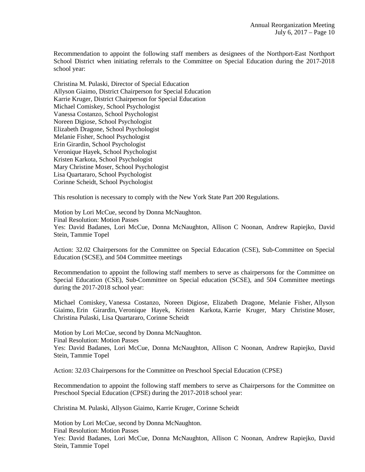Recommendation to appoint the following staff members as designees of the Northport-East Northport School District when initiating referrals to the Committee on Special Education during the 2017-2018 school year:

Christina M. Pulaski, Director of Special Education Allyson Giaimo, District Chairperson for Special Education Karrie Kruger, District Chairperson for Special Education Michael Comiskey, School Psychologist Vanessa Costanzo, School Psychologist Noreen Digiose, School Psychologist Elizabeth Dragone, School Psychologist Melanie Fisher, School Psychologist Erin Girardin, School Psychologist Veronique Hayek, School Psychologist Kristen Karkota, School Psychologist Mary Christine Moser, School Psychologist Lisa Quartararo, School Psychologist Corinne Scheidt, School Psychologist

This resolution is necessary to comply with the New York State Part 200 Regulations.

Motion by Lori McCue, second by Donna McNaughton. Final Resolution: Motion Passes Yes: David Badanes, Lori McCue, Donna McNaughton, Allison C Noonan, Andrew Rapiejko, David Stein, Tammie Topel

Action: 32.02 Chairpersons for the Committee on Special Education (CSE), Sub-Committee on Special Education (SCSE), and 504 Committee meetings

Recommendation to appoint the following staff members to serve as chairpersons for the Committee on Special Education (CSE), Sub-Committee on Special education (SCSE), and 504 Committee meetings during the 2017-2018 school year:

Michael Comiskey, Vanessa Costanzo, Noreen Digiose, Elizabeth Dragone, Melanie Fisher, Allyson Giaimo, Erin Girardin, Veronique Hayek, Kristen Karkota, Karrie Kruger, Mary Christine Moser, Christina Pulaski, Lisa Quartararo, Corinne Scheidt

Motion by Lori McCue, second by Donna McNaughton. Final Resolution: Motion Passes Yes: David Badanes, Lori McCue, Donna McNaughton, Allison C Noonan, Andrew Rapiejko, David Stein, Tammie Topel

Action: 32.03 Chairpersons for the Committee on Preschool Special Education (CPSE)

Recommendation to appoint the following staff members to serve as Chairpersons for the Committee on Preschool Special Education (CPSE) during the 2017-2018 school year:

Christina M. Pulaski, Allyson Giaimo, Karrie Kruger, Corinne Scheidt

Motion by Lori McCue, second by Donna McNaughton. Final Resolution: Motion Passes Yes: David Badanes, Lori McCue, Donna McNaughton, Allison C Noonan, Andrew Rapiejko, David Stein, Tammie Topel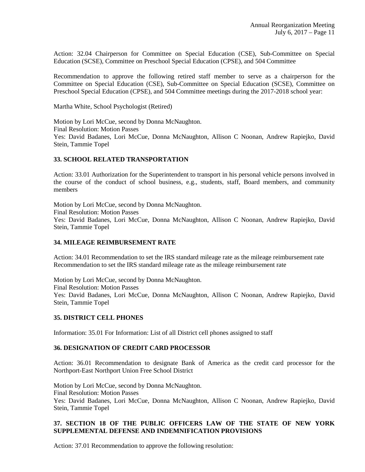Action: 32.04 Chairperson for Committee on Special Education (CSE), Sub-Committee on Special Education (SCSE), Committee on Preschool Special Education (CPSE), and 504 Committee

Recommendation to approve the following retired staff member to serve as a chairperson for the Committee on Special Education (CSE), Sub-Committee on Special Education (SCSE), Committee on Preschool Special Education (CPSE), and 504 Committee meetings during the 2017-2018 school year:

Martha White, School Psychologist (Retired)

Motion by Lori McCue, second by Donna McNaughton. Final Resolution: Motion Passes Yes: David Badanes, Lori McCue, Donna McNaughton, Allison C Noonan, Andrew Rapiejko, David Stein, Tammie Topel

#### **33. SCHOOL RELATED TRANSPORTATION**

Action: 33.01 Authorization for the Superintendent to transport in his personal vehicle persons involved in the course of the conduct of school business, e.g., students, staff, Board members, and community members

Motion by Lori McCue, second by Donna McNaughton. Final Resolution: Motion Passes Yes: David Badanes, Lori McCue, Donna McNaughton, Allison C Noonan, Andrew Rapiejko, David Stein, Tammie Topel

# **34. MILEAGE REIMBURSEMENT RATE**

Action: 34.01 Recommendation to set the IRS standard mileage rate as the mileage reimbursement rate Recommendation to set the IRS standard mileage rate as the mileage reimbursement rate

Motion by Lori McCue, second by Donna McNaughton. Final Resolution: Motion Passes Yes: David Badanes, Lori McCue, Donna McNaughton, Allison C Noonan, Andrew Rapiejko, David Stein, Tammie Topel

# **35. DISTRICT CELL PHONES**

Information: 35.01 For Information: List of all District cell phones assigned to staff

# **36. DESIGNATION OF CREDIT CARD PROCESSOR**

Action: 36.01 Recommendation to designate Bank of America as the credit card processor for the Northport-East Northport Union Free School District

Motion by Lori McCue, second by Donna McNaughton. Final Resolution: Motion Passes Yes: David Badanes, Lori McCue, Donna McNaughton, Allison C Noonan, Andrew Rapiejko, David Stein, Tammie Topel

# **37. SECTION 18 OF THE PUBLIC OFFICERS LAW OF THE STATE OF NEW YORK SUPPLEMENTAL DEFENSE AND INDEMNIFICATION PROVISIONS**

Action: 37.01 Recommendation to approve the following resolution: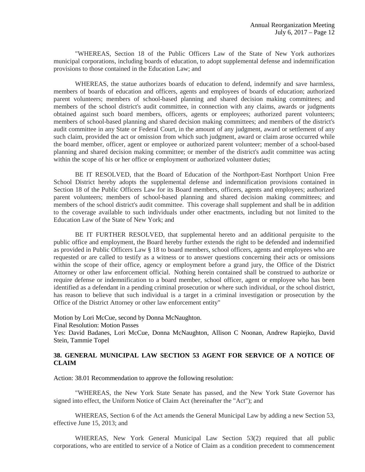"WHEREAS, Section 18 of the Public Officers Law of the State of New York authorizes municipal corporations, including boards of education, to adopt supplemental defense and indemnification provisions to those contained in the Education Law; and

WHEREAS, the statue authorizes boards of education to defend, indemnify and save harmless, members of boards of education and officers, agents and employees of boards of education; authorized parent volunteers; members of school-based planning and shared decision making committees; and members of the school district's audit committee, in connection with any claims, awards or judgments obtained against such board members, officers, agents or employees; authorized parent volunteers; members of school-based planning and shared decision making committees; and members of the district's audit committee in any State or Federal Court, in the amount of any judgment, award or settlement of any such claim, provided the act or omission from which such judgment, award or claim arose occurred while the board member, officer, agent or employee or authorized parent volunteer; member of a school-based planning and shared decision making committee; or member of the district's audit committee was acting within the scope of his or her office or employment or authorized volunteer duties;

BE IT RESOLVED, that the Board of Education of the Northport-East Northport Union Free School District hereby adopts the supplemental defense and indemnification provisions contained in Section 18 of the Public Officers Law for its Board members, officers, agents and employees; authorized parent volunteers; members of school-based planning and shared decision making committees; and members of the school district's audit committee. This coverage shall supplement and shall be in addition to the coverage available to such individuals under other enactments, including but not limited to the Education Law of the State of New York; and

BE IT FURTHER RESOLVED, that supplemental hereto and an additional perquisite to the public office and employment, the Board hereby further extends the right to be defended and indemnified as provided in Public Officers Law § 18 to board members, school officers, agents and employees who are requested or are called to testify as a witness or to answer questions concerning their acts or omissions within the scope of their office, agency or employment before a grand jury, the Office of the District Attorney or other law enforcement official. Nothing herein contained shall be construed to authorize or require defense or indemnification to a board member, school officer, agent or employee who has been identified as a defendant in a pending criminal prosecution or where such individual, or the school district, has reason to believe that such individual is a target in a criminal investigation or prosecution by the Office of the District Attorney or other law enforcement entity"

Motion by Lori McCue, second by Donna McNaughton.

Final Resolution: Motion Passes

Yes: David Badanes, Lori McCue, Donna McNaughton, Allison C Noonan, Andrew Rapiejko, David Stein, Tammie Topel

# **38. GENERAL MUNICIPAL LAW SECTION 53 AGENT FOR SERVICE OF A NOTICE OF CLAIM**

Action: 38.01 Recommendation to approve the following resolution:

"WHEREAS, the New York State Senate has passed, and the New York State Governor has signed into effect, the Uniform Notice of Claim Act (hereinafter the "Act"); and

WHEREAS, Section 6 of the Act amends the General Municipal Law by adding a new Section 53, effective June 15, 2013; and

WHEREAS, New York General Municipal Law Section 53(2) required that all public corporations, who are entitled to service of a Notice of Claim as a condition precedent to commencement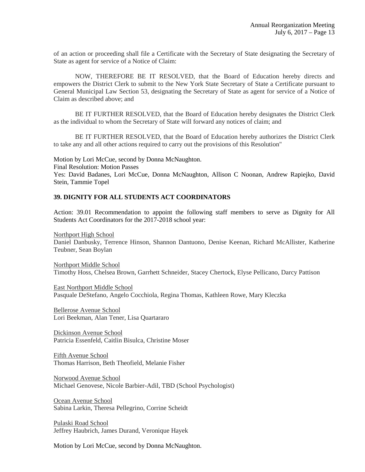of an action or proceeding shall file a Certificate with the Secretary of State designating the Secretary of State as agent for service of a Notice of Claim:

NOW, THEREFORE BE IT RESOLVED, that the Board of Education hereby directs and empowers the District Clerk to submit to the New York State Secretary of State a Certificate pursuant to General Municipal Law Section 53, designating the Secretary of State as agent for service of a Notice of Claim as described above; and

BE IT FURTHER RESOLVED, that the Board of Education hereby designates the District Clerk as the individual to whom the Secretary of State will forward any notices of claim; and

BE IT FURTHER RESOLVED, that the Board of Education hereby authorizes the District Clerk to take any and all other actions required to carry out the provisions of this Resolution"

Motion by Lori McCue, second by Donna McNaughton. Final Resolution: Motion Passes Yes: David Badanes, Lori McCue, Donna McNaughton, Allison C Noonan, Andrew Rapiejko, David Stein, Tammie Topel

# **39. DIGNITY FOR ALL STUDENTS ACT COORDINATORS**

Action: 39.01 Recommendation to appoint the following staff members to serve as Dignity for All Students Act Coordinators for the 2017-2018 school year:

Northport High School Daniel Danbusky, Terrence Hinson, Shannon Dantuono, Denise Keenan, Richard McAllister, Katherine Teubner, Sean Boylan

Northport Middle School Timothy Hoss, Chelsea Brown, Garrhett Schneider, Stacey Chertock, Elyse Pellicano, Darcy Pattison

East Northport Middle School Pasquale DeStefano, Angelo Cocchiola, Regina Thomas, Kathleen Rowe, Mary Kleczka

Bellerose Avenue School Lori Beekman, Alan Tener, Lisa Quartararo

Dickinson Avenue School Patricia Essenfeld, Caitlin Bisulca, Christine Moser

Fifth Avenue School Thomas Harrison, Beth Theofield, Melanie Fisher

Norwood Avenue School Michael Genovese, Nicole Barbier-Adil, TBD (School Psychologist)

Ocean Avenue School Sabina Larkin, Theresa Pellegrino, Corrine Scheidt

Pulaski Road School Jeffrey Haubrich, James Durand, Veronique Hayek

Motion by Lori McCue, second by Donna McNaughton.